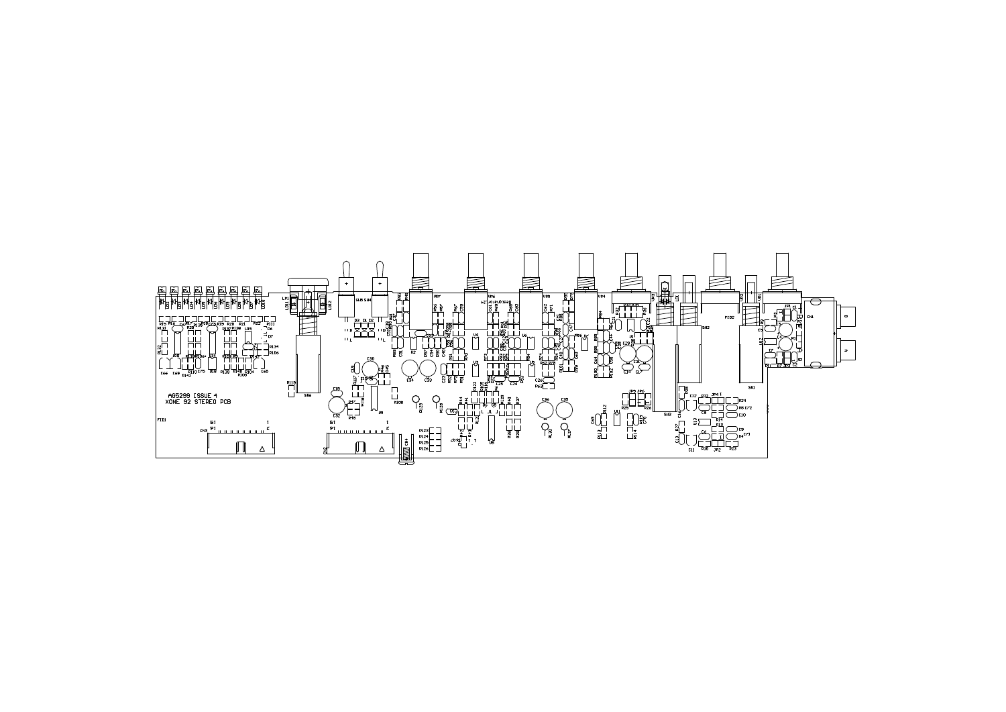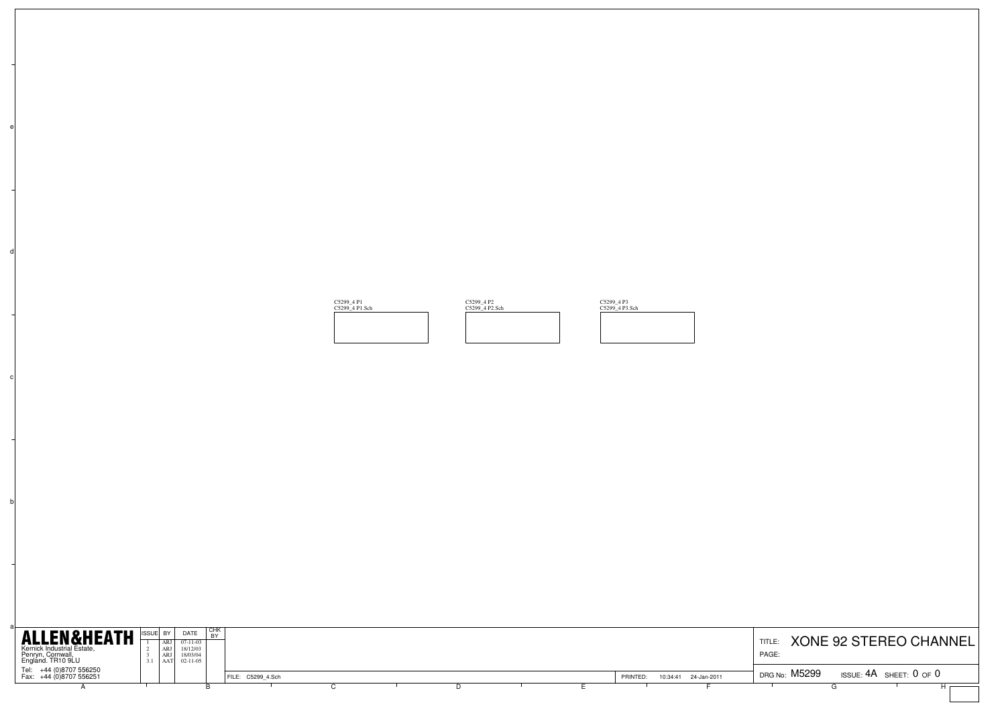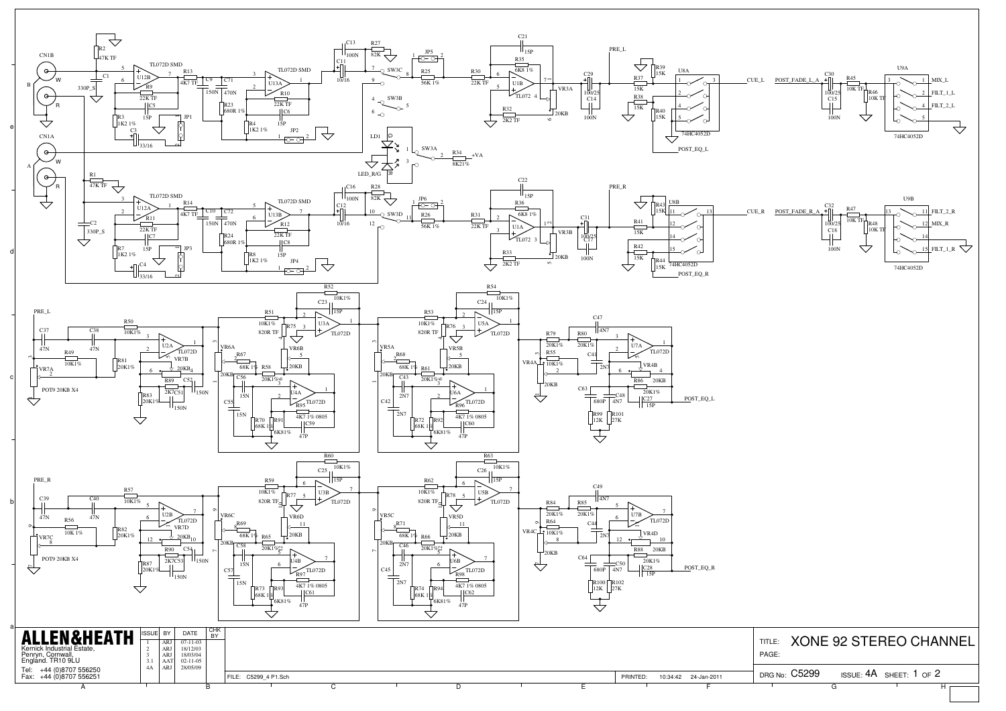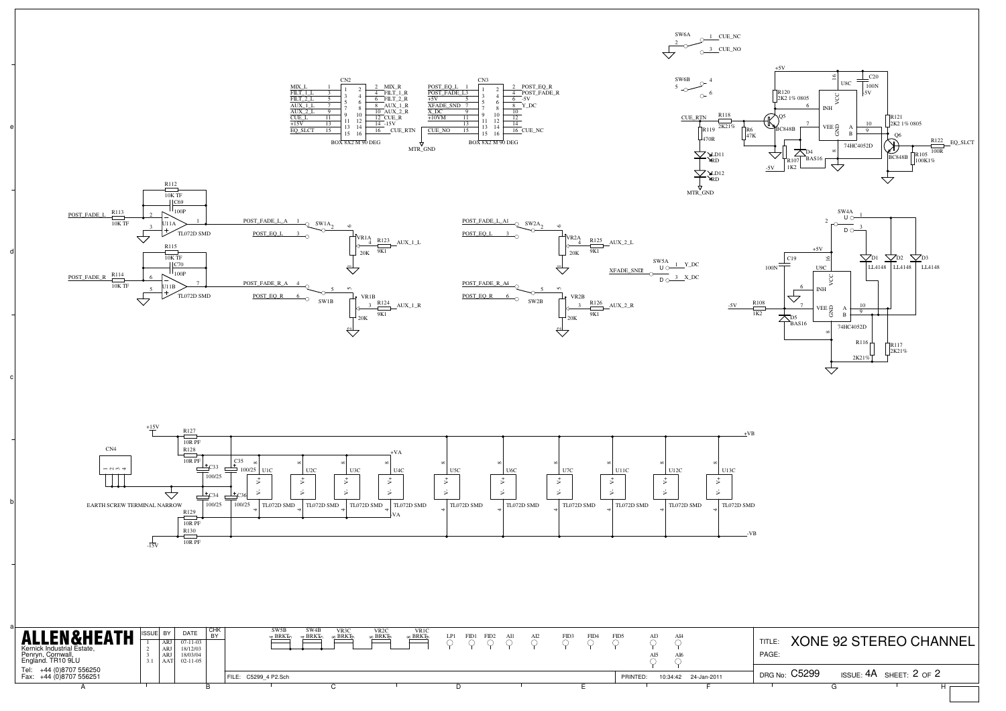